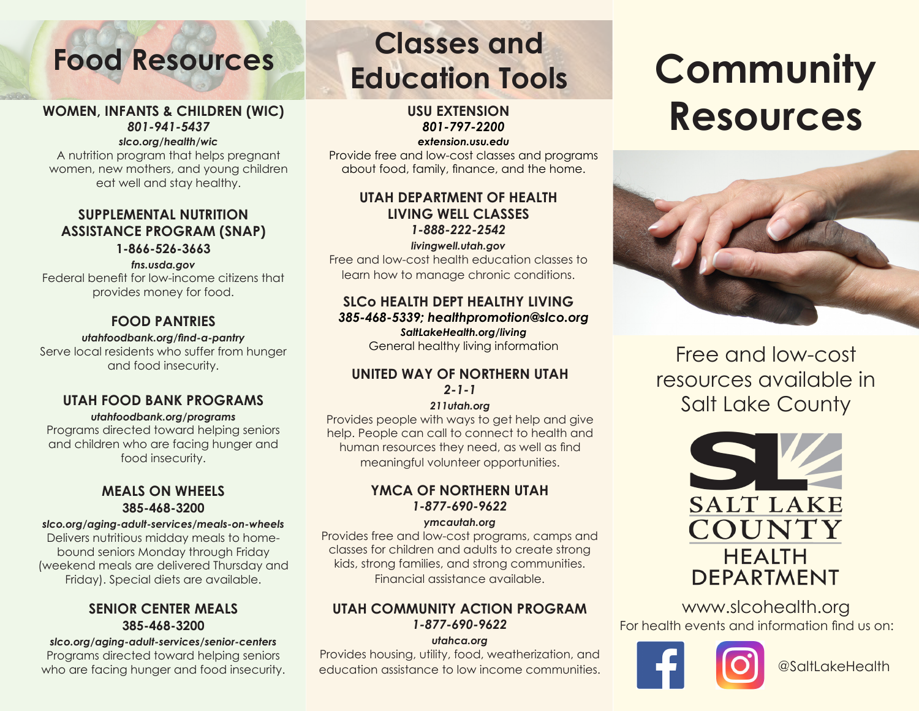### **WOMEN, INFANTS & CHILDREN (WIC)** *801-941-5437*

### *slco.org/health/wic*

A nutrition program that helps pregnant women, new mothers, and young children eat well and stay healthy.

### **SUPPLEMENTAL NUTRITION ASSISTANCE PROGRAM (SNAP)**

**1-866-526-3663**

### *fns.usda.gov*  Federal benefit for low-income citizens that provides money for food.

### **FOOD PANTRIES**

### *utahfoodbank.org/find-a-pantry*

Serve local residents who suffer from hunger and food insecurity.

### **UTAH FOOD BANK PROGRAMS**

### *utahfoodbank.org/programs*

Programs directed toward helping seniors and children who are facing hunger and food insecurity.

### **MEALS ON WHEELS 385-468-3200**

### *slco.org/aging-adult-services/meals-on-wheels*

Delivers nutritious midday meals to homebound seniors Monday through Friday (weekend meals are delivered Thursday and Friday). Special diets are available.

### **SENIOR CENTER MEALS 385-468-3200**

*slco.org/aging-adult-services/senior-centers* Programs directed toward helping seniors who are facing hunger and food insecurity.

## **Food Resources Classes and Education Tools**

**USU EXTENSION** *801-797-2200 extension.usu.edu*

Provide free and low-cost classes and programs about food, family, finance, and the home.

### **UTAH DEPARTMENT OF HEALTH LIVING WELL CLASSES** *1-888-222-2542*

*livingwell.utah.gov* Free and low-cost health education classes to learn how to manage chronic conditions.

### **SLCo HEALTH DEPT HEALTHY LIVING** *385-468-5339; healthpromotion@slco.org SaltLakeHealth.org/living*

General healthy living information

### **UNITED WAY OF NORTHERN UTAH** *2-1-1*

### *211utah.org*

Provides people with ways to get help and give help. People can call to connect to health and human resources they need, as well as find meaningful volunteer opportunities.

### **YMCA OF NORTHERN UTAH** *1-877-690-9622*

*ymcautah.org*

Provides free and low-cost programs, camps and classes for children and adults to create strong kids, strong families, and strong communities. Financial assistance available.

### **UTAH COMMUNITY ACTION PROGRAM** *1-877-690-9622*

### *utahca.org*

Provides housing, utility, food, weatherization, and education assistance to low income communities.

# **Community Resources**



Free and low-cost resources available in Salt Lake County



www.slcohealth.org For health events and information find us on:



@SaltLakeHealth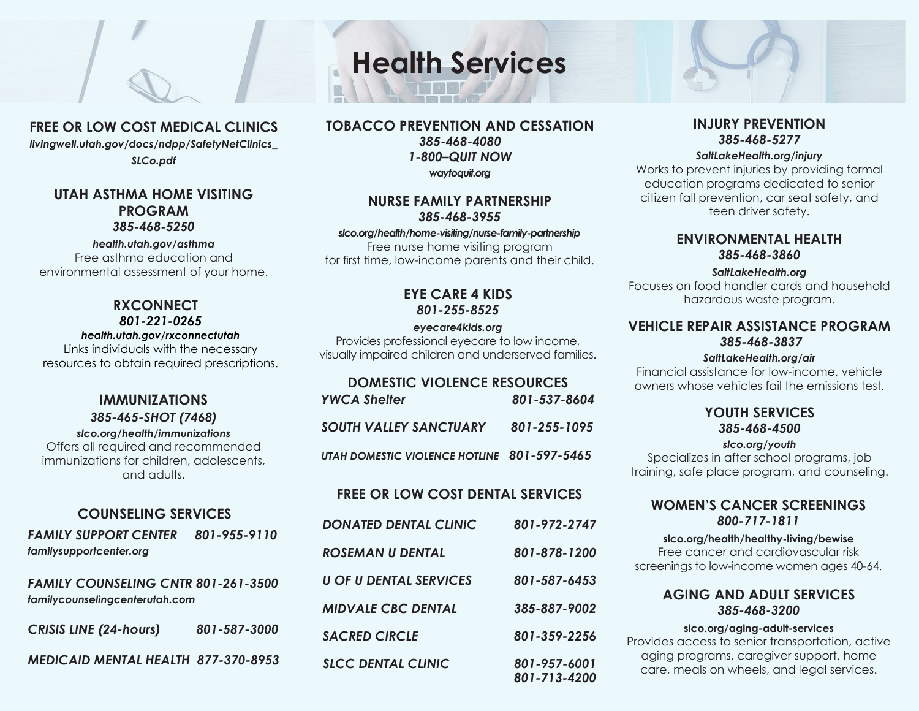### **FREE OR LOW COST MEDICAL CLINICS**

*livingwell.utah.gov/docs/ndpp/SafetyNetClinics\_ SLCo.pdf*

### **UTAH ASTHMA HOME VISITING PROGRAM** *385-468-5250*

*health.utah.gov/asthma* Free asthma education and environmental assessment of your home.

### **RXCONNECT** *801-221-0265*

### *health.utah.gov/rxconnectutah*

Links individuals with the necessary resources to obtain required prescriptions.

### **IMMUNIZATIONS** *385-465-SHOT (7468)*

### *slco.org/health/immunizations*

Offers all required and recommended immunizations for children, adolescents, and adults.

### **COUNSELING SERVICES**

*FAMILY SUPPORT CENTER 801-955-9110 familysupportcenter.org*

*FAMILY COUNSELING CNTR 801-261-3500 familycounselingcenterutah.com*

| <b>CRISIS LINE (24-hours)</b>              | 801-587-3000 |
|--------------------------------------------|--------------|
| <b>MEDICAID MENTAL HEALTH 877-370-8953</b> |              |

# **Health Services**

**TOBACCO PREVENTION AND CESSATION** *385-468-4080 1-800–QUIT NOW waytoquit.org*

### **NURSE FAMILY PARTNERSHIP** *385-468-3955*

### *slco.org/health/home-visiting/nurse-family-partnership*

Free nurse home visiting program for first time, low-income parents and their child.

### **EYE CARE 4 KIDS** *801-255-8525*

### *eyecare4kids.org*

Provides professional eyecare to low income, visually impaired children and underserved families.

### **DOMESTIC VIOLENCE RESOURCES**

| <b>YWCA Shelter</b>                         | 801-537-8604 |
|---------------------------------------------|--------------|
| <b>SOUTH VALLEY SANCTUARY</b>               | 801-255-1095 |
| UTAH DOMESTIC VIOLENCE HOTLINE 801-597-5465 |              |

### **FREE OR LOW COST DENTAL SERVICES**

| <b>DONATED DENTAL CLINIC</b>  | 801-972-2747                 |
|-------------------------------|------------------------------|
| ROSEMAN U DENTAL              | 801-878-1200                 |
| <b>U OF U DENTAL SERVICES</b> | 801-587-6453                 |
| <b>MIDVALE CBC DENTAL</b>     | 385-887-9002                 |
| <b>SACRED CIRCLE</b>          | 801-359-2256                 |
| <b>SLCC DENTAL CLINIC</b>     | 801-957-6001<br>801-713-4200 |

### **INJURY PREVENTION** *385-468-5277*

### *SaltLakeHealth.org/injury*

Works to prevent injuries by providing formal education programs dedicated to senior citizen fall prevention, car seat safety, and teen driver safety.

### **ENVIRONMENTAL HEALTH** *385-468-3860*

### *SaltLakeHealth.org*

Focuses on food handler cards and household hazardous waste program.

### **VEHICLE REPAIR ASSISTANCE PROGRAM**  *385-468-3837*

### *SaltLakeHealth.org/air*

Financial assistance for low-income, vehicle owners whose vehicles fail the emissions test.

### **YOUTH SERVICES** *385-468-4500*

### *slco.org/youth*

Specializes in after school programs, job training, safe place program, and counseling.

### **WOMEN'S CANCER SCREENINGS** *800-717-1811*

### **slco.org/health/healthy-living/bewise**

Free cancer and cardiovascular risk screenings to low-income women ages 40-64.

### **AGING AND ADULT SERVICES** *385-468-3200*

### **slco.org/aging-adult-services**

Provides access to senior transportation, active aging programs, caregiver support, home care, meals on wheels, and legal services.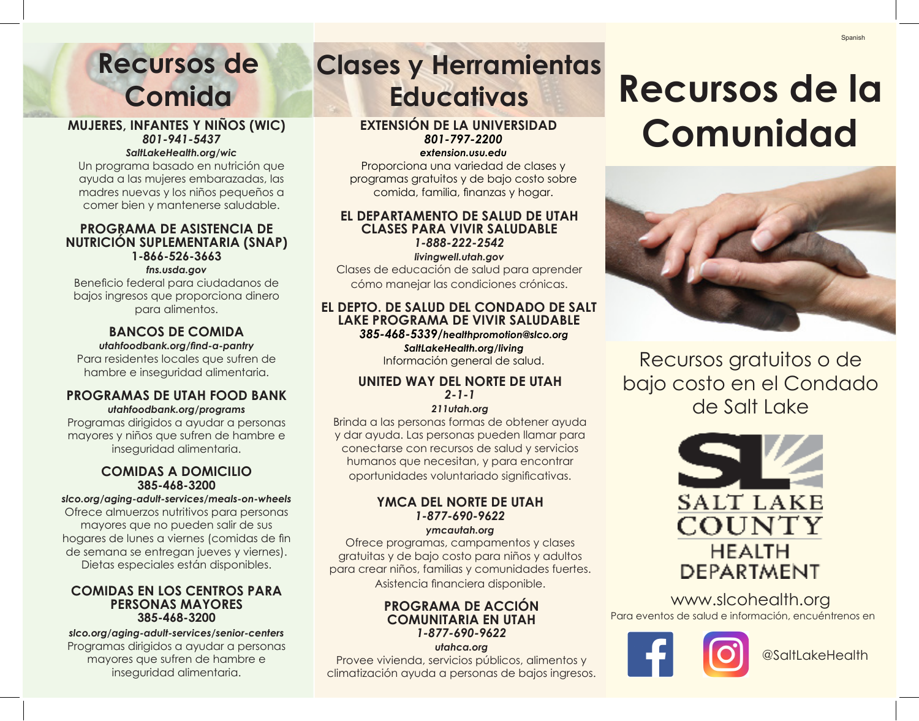## **Recursos de Comida**

### **MUJERES, INFANTES Y NIÑOS (WIC)** *801-941-5437*

### *SaltLakeHealth.org/wic*

Un programa basado en nutrición que ayuda a las mujeres embarazadas, las madres nuevas y los niños pequeños a comer bien y mantenerse saludable.

### **PROGRAMA DE ASISTENCIA DE NUTRICIÓN SUPLEMENTARIA (SNAP) 1-866-526-3663**

### *fns.usda.gov*

Beneficio federal para ciudadanos de bajos ingresos que proporciona dinero para alimentos.

### **BANCOS DE COMIDA**

*utahfoodbank.org/find-a-pantry*

Para residentes locales que sufren de hambre e inseguridad alimentaria.

### **PROGRAMAS DE UTAH FOOD BANK** *utahfoodbank.org/programs*

Programas dirigidos a ayudar a personas mayores y niños que sufren de hambre e inseguridad alimentaria.

### **COMIDAS A DOMICILIO 385-468-3200**

### *slco.org/aging-adult-services/meals-on-wheels*

Ofrece almuerzos nutritivos para personas mayores que no pueden salir de sus hogares de lunes a viernes (comidas de fin de semana se entregan jueves y viernes). Dietas especiales están disponibles.

### **COMIDAS EN LOS CENTROS PARA PERSONAS MAYORES 385-468-3200**

*slco.org/aging-adult-services/senior-centers* Programas dirigidos a ayudar a personas mayores que sufren de hambre e inseguridad alimentaria.

## **Clases y Herramientas Educativas**

### **EXTENSIÓN DE LA UNIVERSIDAD** *801-797-2200*

*extension.usu.edu*

Proporciona una variedad de clases y programas gratuitos y de bajo costo sobre comida, familia, finanzas y hogar.

### **EL DEPARTAMENTO DE SALUD DE UTAH CLASES PARA VIVIR SALUDABLE** *1-888-222-2542*

*livingwell.utah.gov* Clases de educación de salud para aprender cómo manejar las condiciones crónicas.

### **EL DEPTO. DE SALUD DEL CONDADO DE SALT LAKE PROGRAMA DE VIVIR SALUDABLE** *385-468-5339/healthpromotion@slco.org*

*SaltLakeHealth.org/living*

Información general de salud.

### **UNITED WAY DEL NORTE DE UTAH** *2-1-1*

### *211utah.org*

Brinda a las personas formas de obtener ayuda y dar ayuda. Las personas pueden llamar para conectarse con recursos de salud y servicios humanos que necesitan, y para encontrar oportunidades voluntariado significativas.

### **YMCA DEL NORTE DE UTAH** *1-877-690-9622 ymcautah.org*

Ofrece programas, campamentos y clases gratuitas y de bajo costo para niños y adultos para crear niños, familias y comunidades fuertes. Asistencia financiera disponible.

### **PROGRAMA DE ACCIÓN COMUNITARIA EN UTAH** *1-877-690-9622*

*utahca.org*

Provee vivienda, servicios públicos, alimentos y climatización ayuda a personas de bajos ingresos.

## **Recursos de la Comunidad**



Recursos gratuitos o de bajo costo en el Condado de Salt Lake



www.slcohealth.org Para eventos de salud e información, encuéntrenos en



@SaltLakeHealth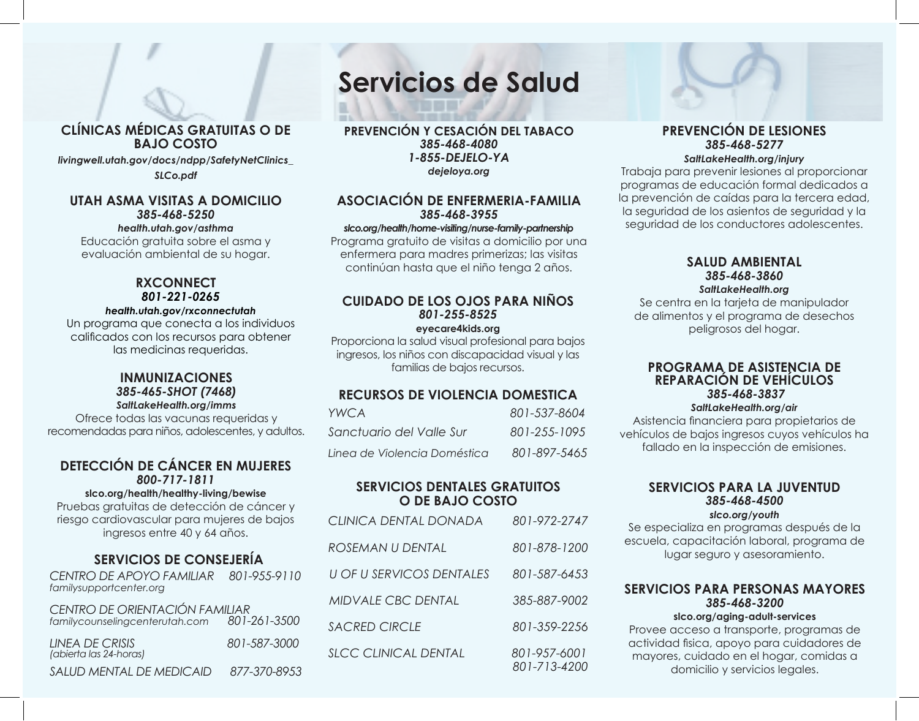### **CLÍNICAS MÉDICAS GRATUITAS O DE BAJO COSTO**

*livingwell.utah.gov/docs/ndpp/SafetyNetClinics\_*

*SLCo.pdf*

### **UTAH ASMA VISITAS A DOMICILIO** *385-468-5250*

### *health.utah.gov/asthma*

Educación gratuita sobre el asma y evaluación ambiental de su hogar.

### **RXCONNECT** *801-221-0265*

### *health.utah.gov/rxconnectutah*

Un programa que conecta a los individuos calificados con los recursos para obtener las medicinas requeridas.

### **INMUNIZACIONES** *385-465-SHOT (7468)*

*SaltLakeHealth.org/imms*

Ofrece todas las vacunas requeridas y recomendadas para niños, adolescentes, y adultos.

### **DETECCIÓN DE CÁNCER EN MUJERES** *800-717-1811*

### **slco.org/health/healthy-living/bewise**

Pruebas gratuitas de detección de cáncer y riesgo cardiovascular para mujeres de bajos ingresos entre 40 y 64 años.

### **SERVICIOS DE CONSEJERÍA**

*CENTRO DE APOYO FAMILIAR 801-955-9110 familysupportcenter.org*

| CENTRO DE ORIENTACIÓN FAMILIAR<br>familycounselingcenterutah.com | 801-261-3500 |
|------------------------------------------------------------------|--------------|
| LINEA DE CRISIS<br>(abierta las 24-horas)                        | 801-587-3000 |
| SALUD MENTAL DE MEDICAID                                         | 877-370-8953 |

### **Servicios de Salud**

**PREVENCIÓN Y CESACIÓN DEL TABACO** *385-468-4080 1-855-DEJELO-YA dejeloya.org*

### **ASOCIACIÓN DE ENFERMERIA-FAMILIA** *385-468-3955*

### *slco.org/health/home-visiting/nurse-family-partnership*

Programa gratuito de visitas a domicilio por una enfermera para madres primerizas; las visitas continúan hasta que el niño tenga 2 años.

### **CUIDADO DE LOS OJOS PARA NIÑOS** *801-255-8525*

**eyecare4kids.org**

Proporciona la salud visual profesional para bajos ingresos, los niños con discapacidad visual y las familias de bajos recursos. **PROGRAMA DE ASISTENCIA DE**

### **RECURSOS DE VIOLENCIA DOMESTICA**

| <b>YWCA</b>                  | 801-537-8604 |
|------------------------------|--------------|
| Sanctuario del Valle Sur     | 801-255-1095 |
| Linea de Violencia Doméstica | 801-897-5465 |

### **SERVICIOS DENTALES GRATUITOS O DE BAJO COSTO**

| <b>CLINICA DENTAL DONADA</b>    | 801-972-2747                 |
|---------------------------------|------------------------------|
| ROSEMAN U DENTAL                | 801-878-1200                 |
| <b>U OF U SERVICOS DENTALES</b> | 801-587-6453                 |
| <b>MIDVALE CBC DENTAL</b>       | 385-887-9002                 |
| <b>SACRED CIRCLE</b>            | 801-359-2256                 |
| <b>SLCC CLINICAL DENTAL</b>     | 801-957-6001<br>801-713-4200 |

### **PREVENCIÓN DE LESIONES** *385-468-5277*

### *SaltLakeHealth.org/injury*

Trabaja para prevenir lesiones al proporcionar programas de educación formal dedicados a la prevención de caídas para la tercera edad, la seguridad de los asientos de seguridad y la seguridad de los conductores adolescentes.

### **SALUD AMBIENTAL** *385-468-3860 SaltLakeHealth.org*

Se centra en la tarjeta de manipulador de alimentos y el programa de desechos peligrosos del hogar.

### **REPARACIÓN DE VEHÍCULOS**  *385-468-3837*

### *SaltLakeHealth.org/air*

Asistencia financiera para propietarios de vehículos de bajos ingresos cuyos vehículos ha fallado en la inspección de emisiones.

### **SERVICIOS PARA LA JUVENTUD** *385-468-4500*

### *slco.org/youth*

Se especializa en programas después de la escuela, capacitación laboral, programa de lugar seguro y asesoramiento.

### **SERVICIOS PARA PERSONAS MAYORES**  *385-468-3200*

### **slco.org/aging-adult-services**

Provee acceso a transporte, programas de actividad fisica, apoyo para cuidadores de mayores, cuidado en el hogar, comidas a domicilio y servicios legales.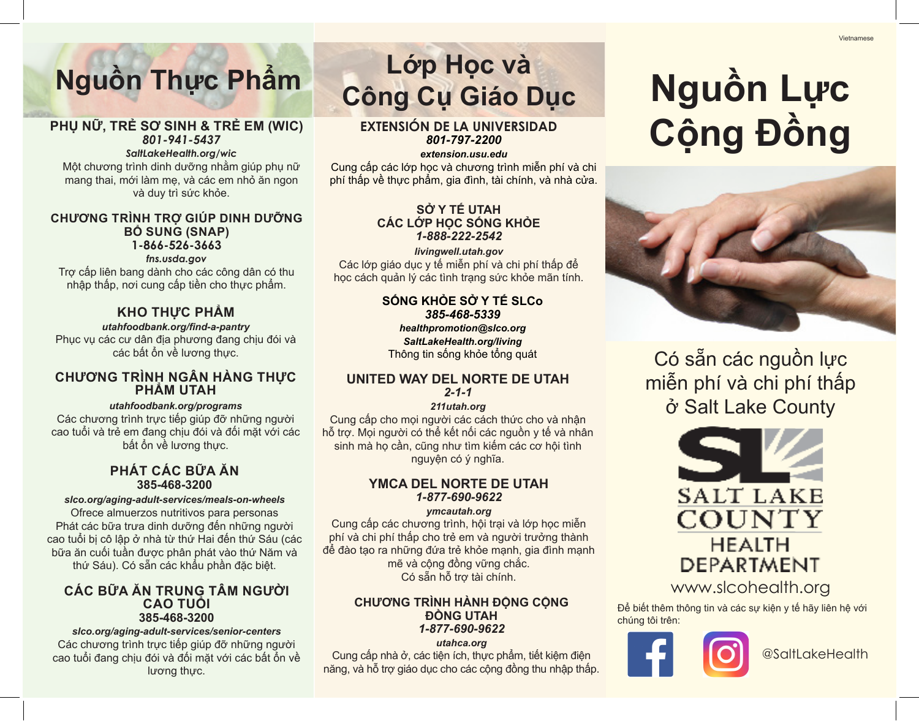# **Nguồn Thực Phẩm Lớp Học và**

### **PHỤ NỮ, TRẺ SƠ SINH & TRẺ EM (WIC)** *801-941-5437*

### *SaltLakeHealth.org/wic*

Một chương trình dinh dưỡng nhằm giúp phụ nữ mang thai, mới làm mẹ, và các em nhỏ ăn ngon và duy trì sức khỏe.

### **CHƯƠNG TRÌNH TRỢ GIÚP DINH DƯỠNG BỔ SUNG (SNAP) 1-866-526-3663**

### *fns.usda.gov*

Trợ cấp liên bang dành cho các công dân có thu nhập thấp, nơi cung cấp tiền cho thực phẩm.

### **KHO THỰC PHẨM**

*utahfoodbank.org/find-a-pantry* Phục vụ các cư dân địa phương đang chịu đói và các bất ổn về lương thực.

### **CHƯƠNG TRÌNH NGÂN HÀNG THỰC PHẨM UTAH**

### *utahfoodbank.org/programs*

Các chương trình trực tiếp giúp đỡ những người cao tuổi và trẻ em đang chịu đói và đối mặt với các bất ổn về lương thực.

### **PHÁT CÁC BỮA ĂN 385-468-3200**

### *slco.org/aging-adult-services/meals-on-wheels*

Ofrece almuerzos nutritivos para personas Phát các bữa trưa dinh dưỡng đến những người cao tuổi bị cô lập ở nhà từ thứ Hai đến thứ Sáu (các bữa ăn cuối tuần được phân phát vào thứ Năm và thứ Sáu). Có sẵn các khẩu phần đặc biệt.

### **CÁC BỮA ĂN TRUNG TÂM NGƯỜI CAO TUỔI 385-468-3200**

*slco.org/aging-adult-services/senior-centers* Các chương trình trực tiếp giúp đỡ những người cao tuổi đang chịu đói và đối mặt với các bất ổn về lương thực.

# **Công Cụ Giáo Dục**

### **EXTENSIÓN DE LA UNIVERSIDAD** *801-797-2200*

*extension.usu.edu*

Cung cấp các lớp học và chương trình miễn phí và chi phí thấp về thực phẩm, gia đình, tài chính, và nhà cửa.

### **SỞ Y TẾ UTAH CÁC LỚP HỌC SỐNG KHỎE** *1-888-222-2542*

*livingwell.utah.gov* Các lớp giáo dục y tế miễn phí và chi phí thấp để học cách quản lý các tình trạng sức khỏe mãn tính.

### **SỐNG KHỎE SỞ Y TẾ SLCo** *385-468-5339 healthpromotion@slco.org*

*SaltLakeHealth.org/living* Thông tin sống khỏe tổng quát

### **UNITED WAY DEL NORTE DE UTAH** *2-1-1*

### *211utah.org*

Cung cấp cho mọi người các cách thức cho và nhận hỗ trợ. Mọi người có thể kết nối các nguồn y tế và nhân sinh mà họ cần, cũng như tìm kiếm các cơ hội tình nguyện có ý nghĩa.

### **YMCA DEL NORTE DE UTAH** *1-877-690-9622*

### *ymcautah.org*

Cung cấp các chương trình, hội trại và lớp học miễn phí và chi phí thấp cho trẻ em và người trưởng thành để đào tạo ra những đứa trẻ khỏe mạnh, gia đình mạnh mẽ và cộng đồng vững chắc. Có sẵn hỗ trợ tài chính.

### **CHƯƠNG TRÌNH HÀNH ĐỘNG CỘNG ĐỒNG UTAH** *1-877-690-9622*

*utahca.org*

Cung cấp nhà ở, các tiện ích, thực phẩm, tiết kiệm điện năng, và hỗ trợ giáo dục cho các cộng đồng thu nhập thấp.

# **Nguồn Lực Cộng Đồng**



Có sẵn các nguồn lực miễn phí và chi phí thấp ở Salt Lake County



www.slcohealth.org

Để biết thêm thông tin và các sự kiên y tế hãy liên hệ với chúng tôi trên:



@SaltLakeHealth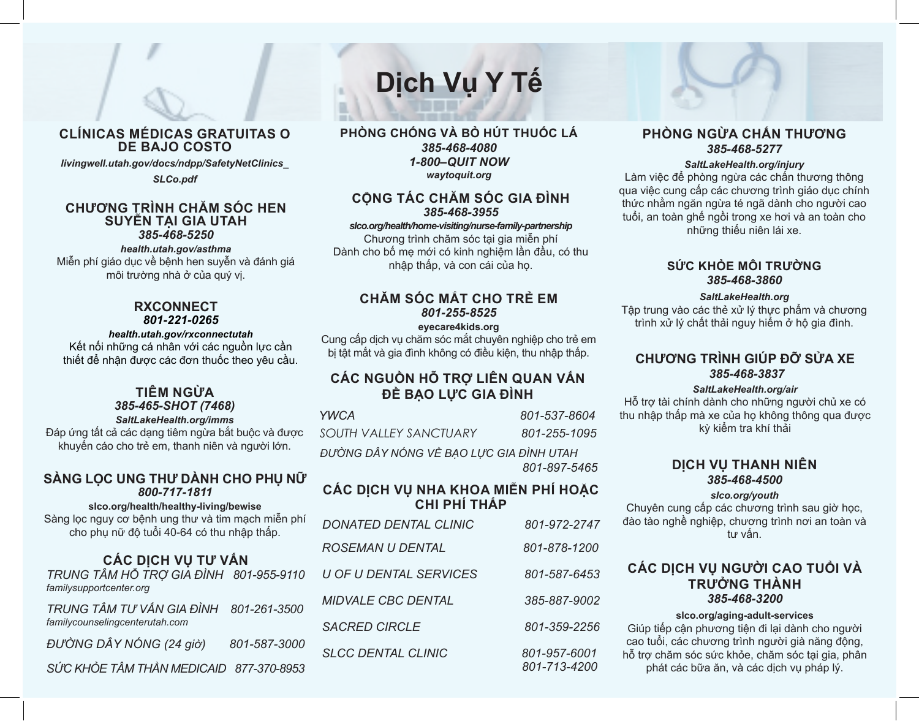### **CLÍNICAS MÉDICAS GRATUITAS O DE BAJO COSTO**

*livingwell.utah.gov/docs/ndpp/SafetyNetClinics\_*

*SLCo.pdf*

### **CHƯƠNG TRÌNH CHĂM SÓC HEN SUYỄN TẠI GIA UTAH** *385-468-5250*

*health.utah.gov/asthma*

Miễn phí giáo dục về bệnh hen suyễn và đánh giá môi trường nhà ở của quý vị.

### **RXCONNECT** *801-221-0265*

### *health.utah.gov/rxconnectutah*

Kết nối những cá nhân với các nguồn lực cần thiết để nhận được các đơn thuốc theo yêu cầu.

### **TIÊM NGỪA** *385-465-SHOT (7468)*

*SaltLakeHealth.org/imms*

Đáp ứng tất cả các dạng tiêm ngừa bắt buộc và được khuyến cáo cho trẻ em, thanh niên và người lớn.

### **SÀNG LỌC UNG THƯ DÀNH CHO PHỤ NỮ** *800-717-1811*

**slco.org/health/healthy-living/bewise**

Sàng lọc nguy cơ bệnh ung thư và tim mạch miễn phí cho phụ nữ độ tuổi 40-64 có thu nhập thấp.

### **CÁC DỊCH VỤ TƯ VẤN**

*TRUNG TÂM HỖ TRỢ GIA ĐÌNH 801-955-9110 familysupportcenter.org*

*TRUNG TÂM TƯ VẤN GIA ĐÌNH 801-261-3500 familycounselingcenterutah.com*

*ĐƯỜNG DÂY NÓNG (24 giờ) 801-587-3000*

*SỨC KHỎE TÂM THẦN MEDICAID 877-370-8953*

### **PHÒNG CHỐNG VÀ BỎ HÚT THUỐC LÁ** *385-468-4080 1-800–QUIT NOW waytoquit.org*

**Dịch Vụ Y Tế**

### **CỘNG TÁC CHĂM SÓC GIA ĐÌNH** *385-468-3955*

### *slco.org/health/home-visiting/nurse-family-partnership*

Chương trình chăm sóc tại gia miễn phí Dành cho bố mẹ mới có kinh nghiệm lần đầu, có thu nhập thấp, và con cái của họ.

### **CHĂM SÓC MẮT CHO TRẺ EM** *801-255-8525*

### **eyecare4kids.org**

Cung cấp dịch vụ chăm sóc mắt chuyên nghiệp cho trẻ em bị tật mắt và gia đình không có điều kiện, thu nhập thấp. **CHƯƠNG TRÌNH GIÚP ĐỠ SỬA XE**

### **CÁC NGUỒN HỖ TRỢ LIÊN QUAN VẤN ĐỀ BẠO LỰC GIA ĐÌNH**

| <b>YWCA</b>            | 801-537-8604 |
|------------------------|--------------|
| SOUTH VALLEY SANCTUARY | 801-255-1095 |
|                        |              |

*ĐƯỜNG DÂY NÓNG VỀ BẠO LỰC GIA ĐÌNH UTAH 801-897-5465*

### **CÁC DỊCH VỤ NHA KHOA MIỄN PHÍ HOẶC CHI PHÍ THẤP**

| <b>DONATED DENTAL CLINIC</b>  | 801-972-2747                 |
|-------------------------------|------------------------------|
| ROSEMAN U DENTAL              | 801-878-1200                 |
| <b>U OF U DENTAL SERVICES</b> | 801-587-6453                 |
| <b>MIDVALE CBC DENTAL</b>     | 385-887-9002                 |
| <b>SACRED CIRCLE</b>          | 801-359-2256                 |
| <b>SLCC DENTAL CLINIC</b>     | 801-957-6001<br>801-713-4200 |

### **PHÒNG NGỪA CHẤN THƯƠNG** *385-468-5277*

### *SaltLakeHealth.org/injury*

Làm việc để phòng ngừa các chấn thương thông qua việc cung cấp các chương trình giáo dục chính thức nhằm ngăn ngừa té ngã dành cho người cao tuổi, an toàn ghế ngồi trong xe hơi và an toàn cho những thiếu niên lái xe.

### **SỨC KHỎE MÔI TRƯỜNG** *385-468-3860*

### *SaltLakeHealth.org*

Tập trung vào các thẻ xử lý thực phẩm và chương trình xử lý chất thải nguy hiểm ở hộ gia đình.

## *385-468-3837*

### *SaltLakeHealth.org/air*

Hỗ trợ tài chính dành cho những người chủ xe có thu nhập thấp mà xe của họ không thông qua được kỳ kiểm tra khí thải

### **DỊCH VỤ THANH NIÊN** *385-468-4500*

### *slco.org/youth*

Chuyên cung cấp các chương trình sau giờ học, đào tào nghề nghiệp, chương trình nơi an toàn và tư vấn.

### **CÁC DỊCH VỤ NGƯỜI CAO TUỔI VÀ TRƯỞNG THÀNH**  *385-468-3200*

### **slco.org/aging-adult-services**

Giúp tiếp cận phương tiện đi lại dành cho người cao tuổi, các chương trình người già năng động, hỗ trợ chăm sóc sức khỏe, chăm sóc tại gia, phân phát các bữa ăn, và các dịch vụ pháp lý.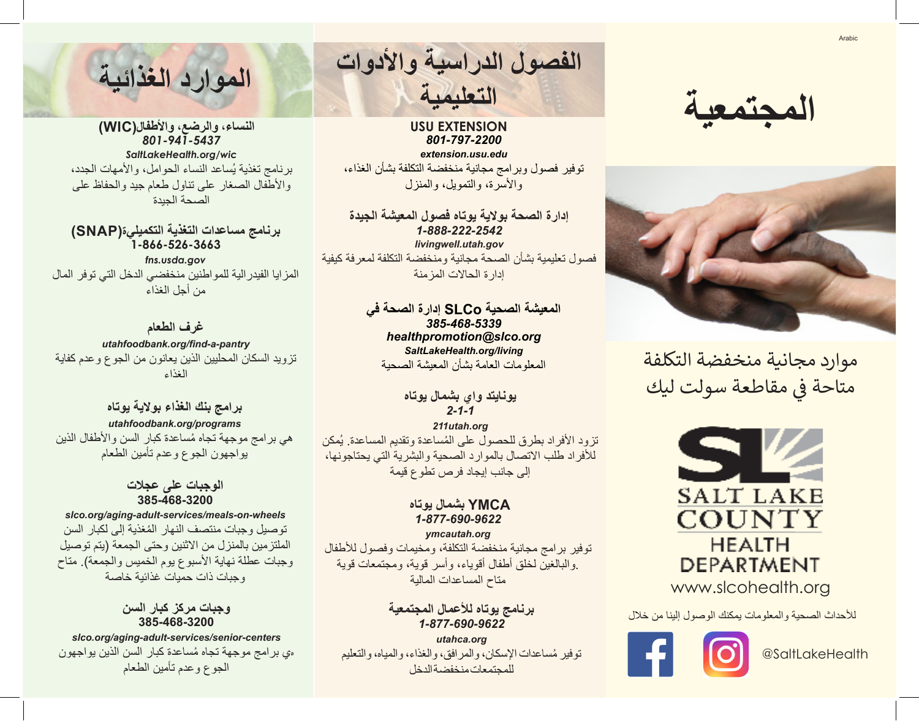**المجتمعية**



موارد مجانية منخفضة التكلفة متاحة في مقاطعة سولت ليك ف



لألحداث الصحية والمعلومات يمكنك الوصول إلينا من خالل



@SaltLakeHealth

**الفصول الدراسية واألدوات الموارد الغذائية التعليمية**

**USU EXTENSION** *801-797-2200 extension.usu.edu* توفير فصول وبرامج مجانية منخفضة التكلفة بشأن الغذاء، والأسرة، والتمويل، والمنزل

**إدارة الصحة بوالية يوتاه فصول المعيشة الجيدة** *1-888-222-2542 livingwell.utah.gov* فصول تعليمية بشأن الصحة مجانية ومنخفضة التكلفة لمعرفة كيفية إدارة الحاالت المزمنة

> **المعيشة الصحية SLCo إدارة الصحة في** *385-468-5339 healthpromotion@slco.org SaltLakeHealth.org/living* المعلومات العامة بشأن المعيشة الصحية

> > **يونايتد واي بشمال يوتاه** *2-1-1*

*211utah.org* تزود الأفراد بطرق للحصول على المُساعدة وتقديم المساعدة. يُمكن لألفراد طلب االتصال بالموارد الصحية والبشرية التي يحتاجونها، إلى جانب إيجاد فرص تطوع قيمة

### **YMCA بشمال يوتاه** *1-877-690-9622*

*ymcautah.org* توفير برامج مجانية منخفضة التكلفة، ومخيمات وفصول لألطفال .والبالغين لخلق أطفال أقوياء، وأسر قوية، ومجتمعات قوية متاح المساعدات المالية

### **برنامج يوتاه لألعمال المجتمعية** *1-877-690-9622*

*utahca.org* ُ توفير مساعدات اإلسكان، والمرافق، والغذاء، والمياه، والتعليم للمجتمعات منخفضة الدخل

**النساء، والرضع، واألطفال(WIC(** *801-941-5437 SaltLakeHealth.org/wic* برنامج تغذية يُساعد النساء الحوامل، والأمهات الجدد، واألطفال الصغار على تناول طعام جيد والحفاظ على الصحة الجيدة

**برنامج مساعدات التغذية التكميلية(SNAP( 1-866-526-3663** *fns.usda.gov*  المزايا الفيدرالية للمواطنين منخفضي الدخل التي توفر المال من أجل الغذاء

**غرف الطعام**

*utahfoodbank.org/find-a-pantry* تزويد السكان المحليين الذين يعانون من الجوع وعدم كفاية الغذاء

**برامج بنك الغذاء بوالية يوتاه** *utahfoodbank.org/programs* ُ هي برامج موجهة تجاه مساعدة كبار السن واألطفال الذين يواجهون الجوع وعدم تأمين الطعام

### **الوجبات على عجالت 385-468-3200**

*slco.org/aging-adult-services/meals-on-wheels* ُ توصيل وجبات منتصف النهار المغذية إلى لكبار السن الملتزمين بالمنزل من االثنين وحتى الجمعة )يتم توصيل وجبات عطلة نهاية الأسبوع يوم الخميس والجمعة). متاح وجبات ذات حميات غذائية خاصة

> **وجبات مركز كبار السن 385-468-3200**

*slco.org/aging-adult-services/senior-centers* ه ُ ي برامج موجهة تجاه مساعدة كبار السن الذين يواجهون الجوع وعدم تأمين الطعام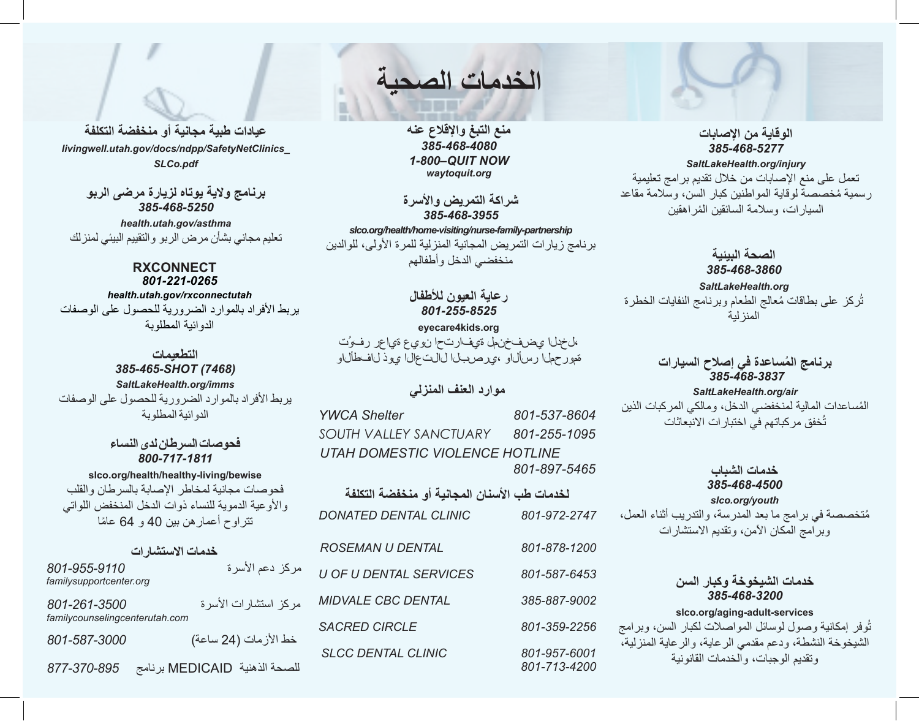**الخدمات الصحية**

**منع التبغ واإلقالع عنه** *385-468-4080 1-800–QUIT NOW waytoquit.org*

**شراكة التمريض واألسرة** *385-468-3955*

*slco.org/health/home-visiting/nurse-family-partnership* برنامج زيارات التمريض المجانية المنزلية للمرة األولى، للوالدين منخفضي الدخل وأطفالهم

### **رعاية العيون لألطفال** *801-255-8525* **eyecare4kids.org** ،لخدلا يضفخنمل ةيفارتحا نويع ةياعر رفوُت

### **موارد العنف المنزلي**

**لخدمات طب األسنان المجانية أو منخفضة التكلفة** *DONATED DENTAL CLINIC 801-972-2747 ROSEMAN U DENTAL 801-878-1200 U OF U DENTAL SERVICES 801-587-6453 MIDVALE CBC DENTAL 385-887-9002 SACRED CIRCLE 801-359-2256 SLCC DENTAL CLINIC 801-957-6001 801-713-4200 YWCA Shelter 801-537-8604 SOUTH VALLEY SANCTUARY 801-255-1095 UTAH DOMESTIC VIOLENCE HOTLINE 801-897-5465*

**الوقاية من اإلصابات** *385-468-5277 SaltLakeHealth.org/injury* تعمل على منع اإلصابات من خالل تقديم برامج تعليمية ُ رسمية مخصصة لوقاية المواطنين كبار السن، وسالمة مقاعد السيار ات، وسلامة السائقين المُر اهقين

**الصحة البيئية** *385-468-3860 SaltLakeHealth.org* تُركز على بطاقات مُعالج الطعام وبرنامج النفايات الخطرة المنزلية

## *385-468-3837* **ُ برنامج المساعدة في إصالح السيارات** ةمورحملا رسألاو ،يرصبلا لالتعالا يوذ لافطألاو

*SaltLakeHealth.org/air* ُ المساعدات المالية لمنخفضي الدخل، ومالكي المركبات الذين ُخفق مركباتهم في اختبارات االنبعاثات ت

> **خدمات الشباب** *385-468-4500 slco.org/youth*

ُمتخصصة في برامج ما بعد المدرسة، والتدريب أثناء العمل، وبرامج المكان اآلمن، وتقديم االستشارات

### **خدمات الشيخوخة وكبار السن** *385-468-3200*

### **slco.org/aging-adult-services**

ُوفر إمكانية وصول لوسائل المواصالت لكبار السن، وبرامج ت الشيخوخة النشطة، ودعم مقدمي الرعاية، والرعاية المنزلية، وتقديم الوجبات، والخدمات القانونية

**عيادات طبية مجانية أو منخفضة التكلفة** *livingwell.utah.gov/docs/ndpp/SafetyNetClinics\_ SLCo.pdf*

> **برنامج والية يوتاه لزيارة مرضى الربو** *385-468-5250*

*health.utah.gov/asthma* تعليم مجاني بشأن مرض الربو والتقييم البيئي لمنزلك

### **RXCONNECT** *801-221-0265*

*health.utah.gov/rxconnectutah*

يربط األفراد بالموارد الضرورية للحصول على الوصفات الدوائية المطلوبة

**التطعيمات** *385-465-SHOT (7468) SaltLakeHealth.org/imms* يربط الأفراد بالموارد الضرورية للحصول على الوصفات الدوائية المطلوبة

> **فحوصات السرطان لدى النساء** *800-717-1811*

**slco.org/health/healthy-living/bewise** فحوصات مجانية لمخاطر اإلصابة بالسرطان والقلب والأوعية الدموية للنساء ذوات الدخل المنخفض اللواتي تتراوح أعمارهن بين 40 و 64 ً عاما

### **خدمات االستشارات**

| 801-955-9110<br>familysupportcenter.org        | مركز دعم الأسرة               |
|------------------------------------------------|-------------------------------|
| 801-261-3500<br>familycounselingcenterutah.com | مركز استشارات الأسرة          |
| 801-587-3000                                   | خط الأزمات (24 ساعة)          |
| 877-370-895                                    | للصحة الذهنية MEDICAID برنامج |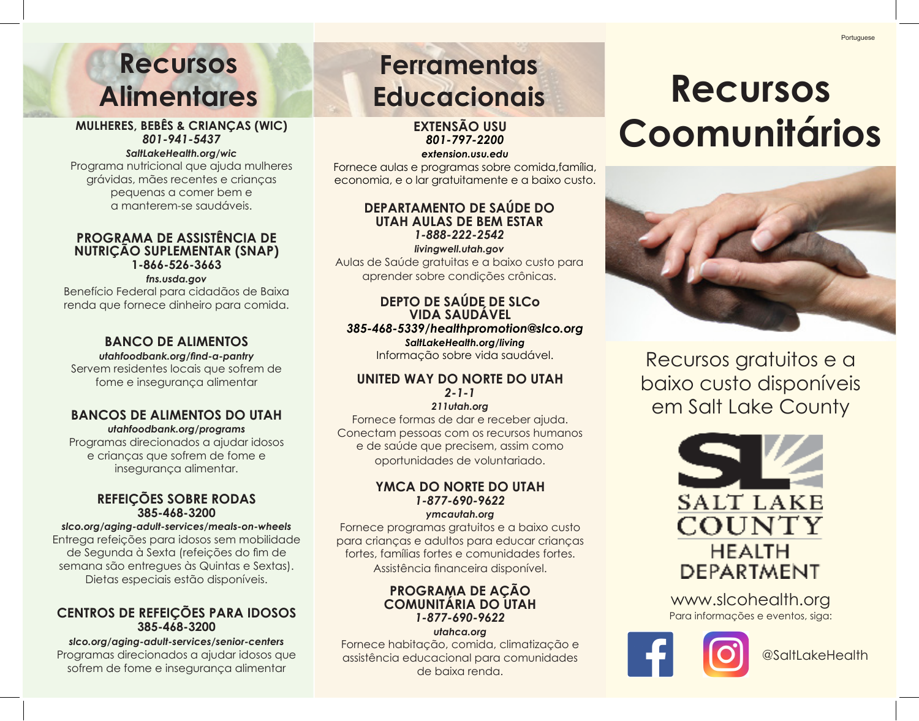## **Recursos Alimentares**

### **MULHERES, BEBÊS & CRIANÇAS (WIC)** *801-941-5437*

### *SaltLakeHealth.org/wic*

Programa nutricional que ajuda mulheres grávidas, mães recentes e crianças pequenas a comer bem e a manterem-se saudáveis.

### **PROGRAMA DE ASSISTÊNCIA DE NUTRIÇÃO SUPLEMENTAR (SNAP) 1-866-526-3663**

### *fns.usda.gov*

Benefício Federal para cidadãos de Baixa renda que fornece dinheiro para comida.

### **BANCO DE ALIMENTOS**

*utahfoodbank.org/find-a-pantry* Servem residentes locais que sofrem de fome e insegurança alimentar

### **BANCOS DE ALIMENTOS DO UTAH**

*utahfoodbank.org/programs* Programas direcionados a ajudar idosos e crianças que sofrem de fome e insegurança alimentar.

### **REFEIÇÕES SOBRE RODAS 385-468-3200**

### *slco.org/aging-adult-services/meals-on-wheels* Entrega refeições para idosos sem mobilidade

de Segunda à Sexta (refeições do fim de semana são entregues às Quintas e Sextas). Dietas especiais estão disponíveis.

### **CENTROS DE REFEIÇÕES PARA IDOSOS 385-468-3200**

*slco.org/aging-adult-services/senior-centers* Programas direcionados a ajudar idosos que sofrem de fome e insegurança alimentar

## **Ferramentas Educacionais**

**EXTENSÃO USU**  *801-797-2200*

*extension.usu.edu*

Fornece aulas e programas sobre comida,família, economia, e o lar gratuitamente e a baixo custo.

### **DEPARTAMENTO DE SAÚDE DO UTAH AULAS DE BEM ESTAR** *1-888-222-2542*

*livingwell.utah.gov* Aulas de Saúde gratuitas e a baixo custo para aprender sobre condições crônicas.

### **DEPTO DE SAÚDE DE SLCo VIDA SAUDÁVEL**  *385-468-5339/healthpromotion@slco.org*

*SaltLakeHealth.org/living* Informação sobre vida saudável.

### **UNITED WAY DO NORTE DO UTAH**  *2-1-1*

*211utah.org*

Fornece formas de dar e receber ajuda. Conectam pessoas com os recursos humanos e de saúde que precisem, assim como oportunidades de voluntariado.

### **YMCA DO NORTE DO UTAH** *1-877-690-9622*

*ymcautah.org*

Fornece programas gratuitos e a baixo custo para crianças e adultos para educar crianças fortes, famílias fortes e comunidades fortes. Assistência financeira disponível.

### **PROGRAMA DE AÇÃO COMUNITÁRIA DO UTAH** *1-877-690-9622*

*utahca.org* Fornece habitação, comida, climatização e assistência educacional para comunidades de baixa renda.

## **Recursos Coomunitários**



Recursos gratuitos e a baixo custo disponíveis em Salt Lake County



www.slcohealth.org Para informações e eventos, siga: